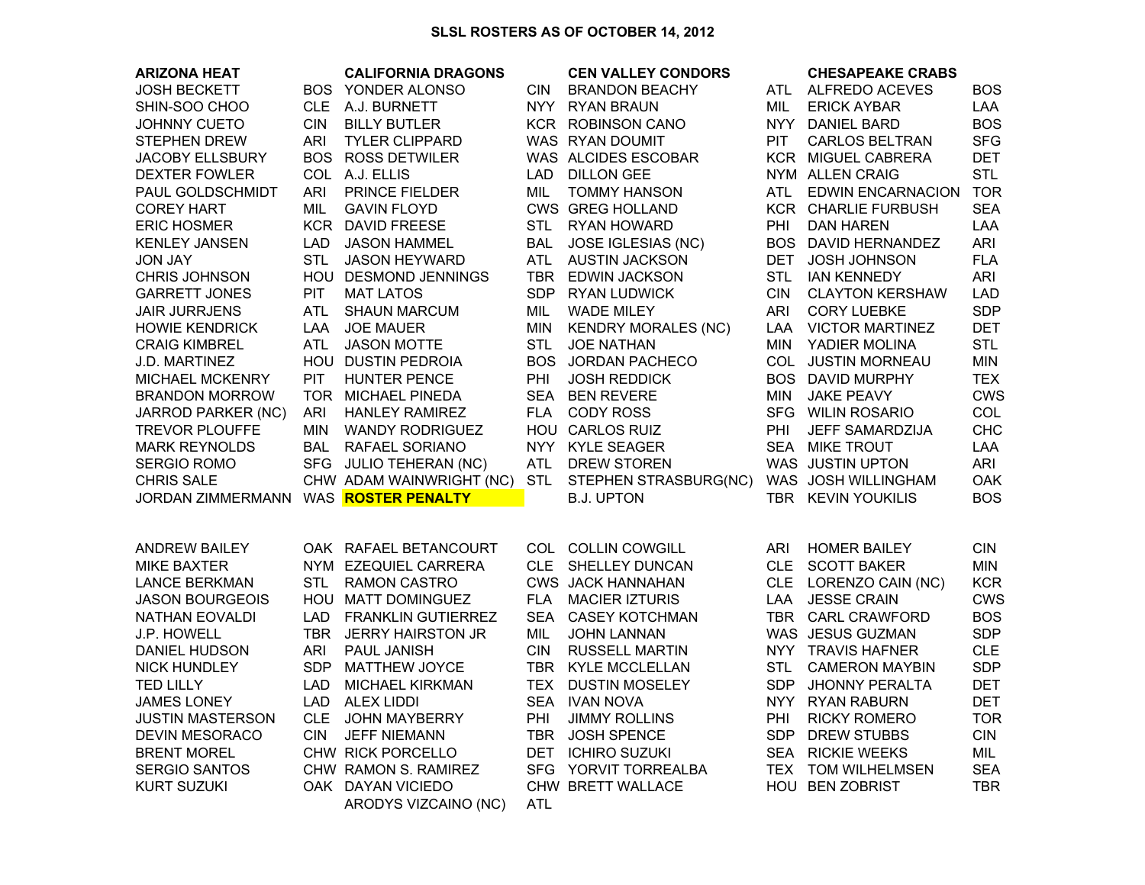## **SLSL ROSTERS AS OF OCTOBER 14, 2012**

| <b>ARIZONA HEAT</b>                  |            | <b>CALIFORNIA DRAGONS</b> |            | <b>CEN VALLEY CONDORS</b>  |            | <b>CHESAPEAKE CRABS</b>    |            |
|--------------------------------------|------------|---------------------------|------------|----------------------------|------------|----------------------------|------------|
| <b>JOSH BECKETT</b>                  |            | BOS YONDER ALONSO         | <b>CIN</b> | <b>BRANDON BEACHY</b>      |            | ATL ALFREDO ACEVES         | <b>BOS</b> |
| SHIN-SOO CHOO                        | CLE.       | A.J. BURNETT              |            | NYY RYAN BRAUN             | MIL        | <b>ERICK AYBAR</b>         | LAA        |
| <b>JOHNNY CUETO</b>                  | <b>CIN</b> | <b>BILLY BUTLER</b>       |            | KCR ROBINSON CANO          |            | NYY DANIEL BARD            | <b>BOS</b> |
| STEPHEN DREW                         | ARI        | <b>TYLER CLIPPARD</b>     |            | WAS RYAN DOUMIT            | <b>PIT</b> | <b>CARLOS BELTRAN</b>      | <b>SFG</b> |
| JACOBY ELLSBURY                      |            | <b>BOS ROSS DETWILER</b>  |            | WAS ALCIDES ESCOBAR        |            | <b>KCR MIGUEL CABRERA</b>  | DET        |
| <b>DEXTER FOWLER</b>                 |            | COL A.J. ELLIS            | LAD        | <b>DILLON GEE</b>          |            | NYM ALLEN CRAIG            | <b>STL</b> |
| PAUL GOLDSCHMIDT                     | ARI        | PRINCE FIELDER            | <b>MIL</b> | <b>TOMMY HANSON</b>        | ATL        | <b>EDWIN ENCARNACION</b>   | <b>TOR</b> |
| <b>COREY HART</b>                    | MIL        | <b>GAVIN FLOYD</b>        |            | <b>CWS GREG HOLLAND</b>    |            | KCR CHARLIE FURBUSH        | <b>SEA</b> |
| <b>ERIC HOSMER</b>                   |            | KCR DAVID FREESE          |            | STL RYAN HOWARD            | <b>PHI</b> | <b>DAN HAREN</b>           | LAA        |
| <b>KENLEY JANSEN</b>                 | LAD        | JASON HAMMEL              |            | BAL JOSE IGLESIAS (NC)     |            | <b>BOS DAVID HERNANDEZ</b> | <b>ARI</b> |
| <b>JON JAY</b>                       | <b>STL</b> | <b>JASON HEYWARD</b>      |            | ATL AUSTIN JACKSON         | DET        | <b>JOSH JOHNSON</b>        | <b>FLA</b> |
| CHRIS JOHNSON                        |            | HOU DESMOND JENNINGS      |            | TBR EDWIN JACKSON          | <b>STL</b> | <b>IAN KENNEDY</b>         | <b>ARI</b> |
| <b>GARRETT JONES</b>                 | <b>PIT</b> | <b>MAT LATOS</b>          |            | SDP RYAN LUDWICK           | <b>CIN</b> | <b>CLAYTON KERSHAW</b>     | LAD        |
| <b>JAIR JURRJENS</b>                 | ATL        | <b>SHAUN MARCUM</b>       | MIL        | <b>WADE MILEY</b>          | ARI        | <b>CORY LUEBKE</b>         | <b>SDP</b> |
| <b>HOWIE KENDRICK</b>                | LAA        | <b>JOE MAUER</b>          | MIN        | <b>KENDRY MORALES (NC)</b> | LAA        | <b>VICTOR MARTINEZ</b>     | <b>DET</b> |
| <b>CRAIG KIMBREL</b>                 | ATL        | <b>JASON MOTTE</b>        | STL        | <b>JOE NATHAN</b>          |            | MIN YADIER MOLINA          | <b>STL</b> |
| J.D. MARTINEZ                        |            | HOU DUSTIN PEDROIA        |            | BOS JORDAN PACHECO         |            | COL JUSTIN MORNEAU         | MIN        |
| <b>MICHAEL MCKENRY</b>               | <b>PIT</b> | <b>HUNTER PENCE</b>       | PHI        | <b>JOSH REDDICK</b>        |            | <b>BOS DAVID MURPHY</b>    | <b>TEX</b> |
| <b>BRANDON MORROW</b>                |            | TOR MICHAEL PINEDA        |            | SEA BEN REVERE             | MIN        | <b>JAKE PEAVY</b>          | <b>CWS</b> |
| <b>JARROD PARKER (NC)</b>            | ARI        | <b>HANLEY RAMIREZ</b>     |            | FLA CODY ROSS              |            | SFG WILIN ROSARIO          | COL        |
| <b>TREVOR PLOUFFE</b>                | MIN        | <b>WANDY RODRIGUEZ</b>    |            | HOU CARLOS RUIZ            | <b>PHI</b> | JEFF SAMARDZIJA            | <b>CHC</b> |
| <b>MARK REYNOLDS</b>                 | BAL        | <b>RAFAEL SORIANO</b>     |            | NYY KYLE SEAGER            |            | SEA MIKE TROUT             | LAA        |
| <b>SERGIO ROMO</b>                   |            | SFG JULIO TEHERAN (NC)    | ATL        | <b>DREW STOREN</b>         |            | WAS JUSTIN UPTON           | ARI        |
| <b>CHRIS SALE</b>                    |            | CHW ADAM WAINWRIGHT (NC)  | STL        | STEPHEN STRASBURG(NC)      |            | WAS JOSH WILLINGHAM        | OAK        |
| JORDAN ZIMMERMANN WAS ROSTER PENALTY |            |                           |            | <b>B.J. UPTON</b>          |            | TBR KEVIN YOUKILIS         | <b>BOS</b> |
|                                      |            |                           |            |                            |            |                            |            |
|                                      |            |                           |            |                            |            |                            |            |
| <b>ANDREW BAILEY</b>                 |            | OAK RAFAEL BETANCOURT     |            | COL COLLIN COWGILL         | <b>ARI</b> | <b>HOMER BAILEY</b>        | <b>CIN</b> |
| <b>MIKE BAXTER</b>                   |            | NYM EZEQUIEL CARRERA      |            | CLE SHELLEY DUNCAN         |            | CLE SCOTT BAKER            | <b>MIN</b> |
| <b>LANCE BERKMAN</b>                 | <b>STL</b> | <b>RAMON CASTRO</b>       |            | <b>CWS JACK HANNAHAN</b>   |            | CLE LORENZO CAIN (NC)      | <b>KCR</b> |
| <b>JASON BOURGEOIS</b>               |            | HOU MATT DOMINGUEZ        |            | FLA MACIER IZTURIS         | LAA        | <b>JESSE CRAIN</b>         | <b>CWS</b> |
| NATHAN EOVALDI                       |            | LAD FRANKLIN GUTIERREZ    |            | SEA CASEY KOTCHMAN         |            | TBR CARL CRAWFORD          | <b>BOS</b> |
| J.P. HOWELL                          |            | TBR JERRY HAIRSTON JR     | MIL        | <b>JOHN LANNAN</b>         |            | WAS JESUS GUZMAN           | <b>SDP</b> |
| DANIEL HUDSON                        | ARI        | PAUL JANISH               | CIN.       | <b>RUSSELL MARTIN</b>      |            | NYY TRAVIS HAFNER          | <b>CLE</b> |
| <b>NICK HUNDLEY</b>                  |            | SDP MATTHEW JOYCE         |            | TBR KYLE MCCLELLAN         | <b>STL</b> | <b>CAMERON MAYBIN</b>      | <b>SDP</b> |
| <b>TED LILLY</b>                     | LAD        | <b>MICHAEL KIRKMAN</b>    |            | TEX DUSTIN MOSELEY         | SDP        | <b>JHONNY PERALTA</b>      | <b>DET</b> |
| <b>JAMES LONEY</b>                   | LAD        | ALEX LIDDI                |            | SEA IVAN NOVA              |            | NYY RYAN RABURN            | DET        |
| <b>JUSTIN MASTERSON</b>              |            | CLE JOHN MAYBERRY         | PHI        | <b>JIMMY ROLLINS</b>       | <b>PHI</b> | <b>RICKY ROMERO</b>        | <b>TOR</b> |
| DEVIN MESORACO                       | <b>CIN</b> | <b>JEFF NIEMANN</b>       |            | TBR JOSH SPENCE            | SDP        | <b>DREW STUBBS</b>         | <b>CIN</b> |
| <b>BRENT MOREL</b>                   |            | CHW RICK PORCELLO         |            | DET ICHIRO SUZUKI          |            | SEA RICKIE WEEKS           | MIL        |
| <b>SERGIO SANTOS</b>                 |            | CHW RAMON S. RAMIREZ      |            | SFG YORVIT TORREALBA       |            | TEX TOM WILHELMSEN         | <b>SEA</b> |
| <b>KURT SUZUKI</b>                   |            | OAK DAYAN VICIEDO         |            | CHW BRETT WALLACE          |            | HOU BEN ZOBRIST            | <b>TBR</b> |
|                                      |            | ARODYS VIZCAINO (NC)      | ATL        |                            |            |                            |            |
|                                      |            |                           |            |                            |            |                            |            |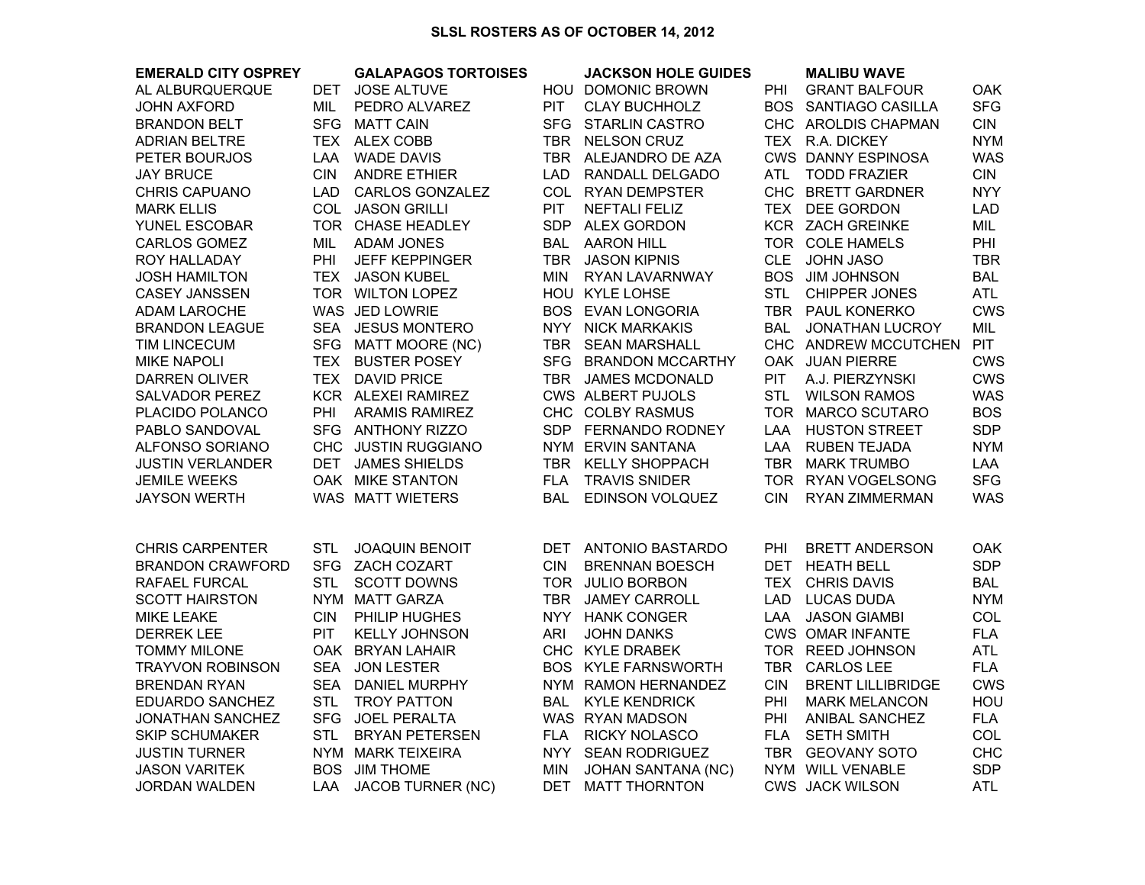## **SLSL ROSTERS AS OF OCTOBER 14, 2012**

| <b>EMERALD CITY OSPREY</b> |            | <b>GALAPAGOS TORTOISES</b> |            | <b>JACKSON HOLE GUIDES</b> |            | <b>MALIBU WAVE</b>        |            |
|----------------------------|------------|----------------------------|------------|----------------------------|------------|---------------------------|------------|
| AL ALBURQUERQUE            | DET        | <b>JOSE ALTUVE</b>         |            | HOU DOMONIC BROWN          | <b>PHI</b> | <b>GRANT BALFOUR</b>      | <b>OAK</b> |
| <b>JOHN AXFORD</b>         | MIL        | PEDRO ALVAREZ              | PIT        | <b>CLAY BUCHHOLZ</b>       |            | BOS SANTIAGO CASILLA      | <b>SFG</b> |
| <b>BRANDON BELT</b>        |            | SFG MATT CAIN              |            | SFG STARLIN CASTRO         |            | CHC AROLDIS CHAPMAN       | <b>CIN</b> |
| <b>ADRIAN BELTRE</b>       |            | TEX ALEX COBB              |            | TBR NELSON CRUZ            |            | TEX R.A. DICKEY           | <b>NYM</b> |
| PETER BOURJOS              | LAA        | <b>WADE DAVIS</b>          |            | TBR ALEJANDRO DE AZA       |            | <b>CWS DANNY ESPINOSA</b> | <b>WAS</b> |
| <b>JAY BRUCE</b>           | <b>CIN</b> | <b>ANDRE ETHIER</b>        |            | LAD RANDALL DELGADO        |            | ATL TODD FRAZIER          | <b>CIN</b> |
| <b>CHRIS CAPUANO</b>       |            | LAD CARLOS GONZALEZ        |            | COL RYAN DEMPSTER          |            | CHC BRETT GARDNER         | <b>NYY</b> |
| <b>MARK ELLIS</b>          |            | COL JASON GRILLI           | <b>PIT</b> | NEFTALI FELIZ              |            | TEX DEE GORDON            | <b>LAD</b> |
| YUNEL ESCOBAR              |            | TOR CHASE HEADLEY          |            | SDP ALEX GORDON            |            | KCR ZACH GREINKE          | MIL        |
| CARLOS GOMEZ               | MIL        | <b>ADAM JONES</b>          |            | <b>BAL AARON HILL</b>      |            | TOR COLE HAMELS           | PHI        |
| ROY HALLADAY               | PHI        | <b>JEFF KEPPINGER</b>      |            | TBR JASON KIPNIS           |            | CLE JOHN JASO             | TBR        |
| <b>JOSH HAMILTON</b>       |            | TEX JASON KUBEL            |            | MIN RYAN LAVARNWAY         |            | BOS JIM JOHNSON           | <b>BAL</b> |
| <b>CASEY JANSSEN</b>       |            | TOR WILTON LOPEZ           |            | HOU KYLE LOHSE             | <b>STL</b> | <b>CHIPPER JONES</b>      | <b>ATL</b> |
| <b>ADAM LAROCHE</b>        |            | WAS JED LOWRIE             |            | <b>BOS EVAN LONGORIA</b>   |            | TBR PAUL KONERKO          | <b>CWS</b> |
| <b>BRANDON LEAGUE</b>      |            | SEA JESUS MONTERO          |            | NYY NICK MARKAKIS          |            | BAL JONATHAN LUCROY       | MIL        |
| <b>TIM LINCECUM</b>        |            | SFG MATT MOORE (NC)        |            | TBR SEAN MARSHALL          |            | CHC ANDREW MCCUTCHEN      | <b>PIT</b> |
| <b>MIKE NAPOLI</b>         |            | TEX BUSTER POSEY           |            | SFG BRANDON MCCARTHY       |            | OAK JUAN PIERRE           | <b>CWS</b> |
| <b>DARREN OLIVER</b>       |            | TEX DAVID PRICE            |            | TBR JAMES MCDONALD         | <b>PIT</b> | A.J. PIERZYNSKI           | <b>CWS</b> |
| <b>SALVADOR PEREZ</b>      |            | KCR ALEXEI RAMIREZ         |            | <b>CWS ALBERT PUJOLS</b>   | <b>STL</b> | <b>WILSON RAMOS</b>       | <b>WAS</b> |
| PLACIDO POLANCO            | PHI        | ARAMIS RAMIREZ             |            | CHC COLBY RASMUS           |            | TOR MARCO SCUTARO         | <b>BOS</b> |
| PABLO SANDOVAL             |            | SFG ANTHONY RIZZO          |            | SDP FERNANDO RODNEY        |            | LAA HUSTON STREET         | <b>SDP</b> |
| ALFONSO SORIANO            |            | CHC JUSTIN RUGGIANO        |            | NYM ERVIN SANTANA          |            | LAA RUBEN TEJADA          | <b>NYM</b> |
| <b>JUSTIN VERLANDER</b>    |            | DET JAMES SHIELDS          |            | TBR KELLY SHOPPACH         |            | TBR MARK TRUMBO           | LAA        |
| <b>JEMILE WEEKS</b>        |            | OAK MIKE STANTON           | <b>FLA</b> | <b>TRAVIS SNIDER</b>       |            | TOR RYAN VOGELSONG        | <b>SFG</b> |
| <b>JAYSON WERTH</b>        |            | WAS MATT WIETERS           | <b>BAL</b> | EDINSON VOLQUEZ            | <b>CIN</b> | RYAN ZIMMERMAN            | <b>WAS</b> |
|                            |            |                            |            |                            |            |                           |            |
| <b>CHRIS CARPENTER</b>     | <b>STL</b> | <b>JOAQUIN BENOIT</b>      |            | DET ANTONIO BASTARDO       | PHI        | <b>BRETT ANDERSON</b>     | <b>OAK</b> |
| <b>BRANDON CRAWFORD</b>    |            | SFG ZACH COZART            | <b>CIN</b> | <b>BRENNAN BOESCH</b>      |            | DET HEATH BELL            | <b>SDP</b> |
| RAFAEL FURCAL              | <b>STL</b> | <b>SCOTT DOWNS</b>         |            | TOR JULIO BORBON           | <b>TEX</b> | <b>CHRIS DAVIS</b>        | <b>BAL</b> |
| <b>SCOTT HAIRSTON</b>      |            | NYM MATT GARZA             |            | TBR JAMEY CARROLL          | <b>LAD</b> | <b>LUCAS DUDA</b>         | <b>NYM</b> |
| <b>MIKE LEAKE</b>          | <b>CIN</b> | PHILIP HUGHES              |            | NYY HANK CONGER            | LAA        | <b>JASON GIAMBI</b>       | <b>COL</b> |
| <b>DERREK LEE</b>          | <b>PIT</b> | <b>KELLY JOHNSON</b>       | ARI        | <b>JOHN DANKS</b>          |            | <b>CWS OMAR INFANTE</b>   | <b>FLA</b> |
| <b>TOMMY MILONE</b>        |            | OAK BRYAN LAHAIR           |            | CHC KYLE DRABEK            |            | TOR REED JOHNSON          | ATL        |
| <b>TRAYVON ROBINSON</b>    | <b>SEA</b> | <b>JON LESTER</b>          |            | <b>BOS KYLE FARNSWORTH</b> |            | TBR CARLOS LEE            | <b>FLA</b> |
| <b>BRENDAN RYAN</b>        |            | SEA DANIEL MURPHY          |            | NYM RAMON HERNANDEZ        | <b>CIN</b> | <b>BRENT LILLIBRIDGE</b>  | <b>CWS</b> |
| EDUARDO SANCHEZ            | <b>STL</b> | <b>TROY PATTON</b>         |            | <b>BAL KYLE KENDRICK</b>   | PHI        | <b>MARK MELANCON</b>      | HOU        |
| <b>JONATHAN SANCHEZ</b>    | <b>SFG</b> | <b>JOEL PERALTA</b>        |            | WAS RYAN MADSON            | PHI        | ANIBAL SANCHEZ            | <b>FLA</b> |
| <b>SKIP SCHUMAKER</b>      | <b>STL</b> | <b>BRYAN PETERSEN</b>      |            | FLA RICKY NOLASCO          | <b>FLA</b> | <b>SETH SMITH</b>         | COL        |
| <b>JUSTIN TURNER</b>       |            | NYM MARK TEIXEIRA          |            | NYY SEAN RODRIGUEZ         |            | TBR GEOVANY SOTO          | <b>CHC</b> |
| <b>JASON VARITEK</b>       | BOS        | <b>JIM THOME</b>           | MIN        | <b>JOHAN SANTANA (NC)</b>  |            | NYM WILL VENABLE          | <b>SDP</b> |
| <b>JORDAN WALDEN</b>       | LAA        | <b>JACOB TURNER (NC)</b>   |            | DET MATT THORNTON          |            | <b>CWS JACK WILSON</b>    | ATL        |